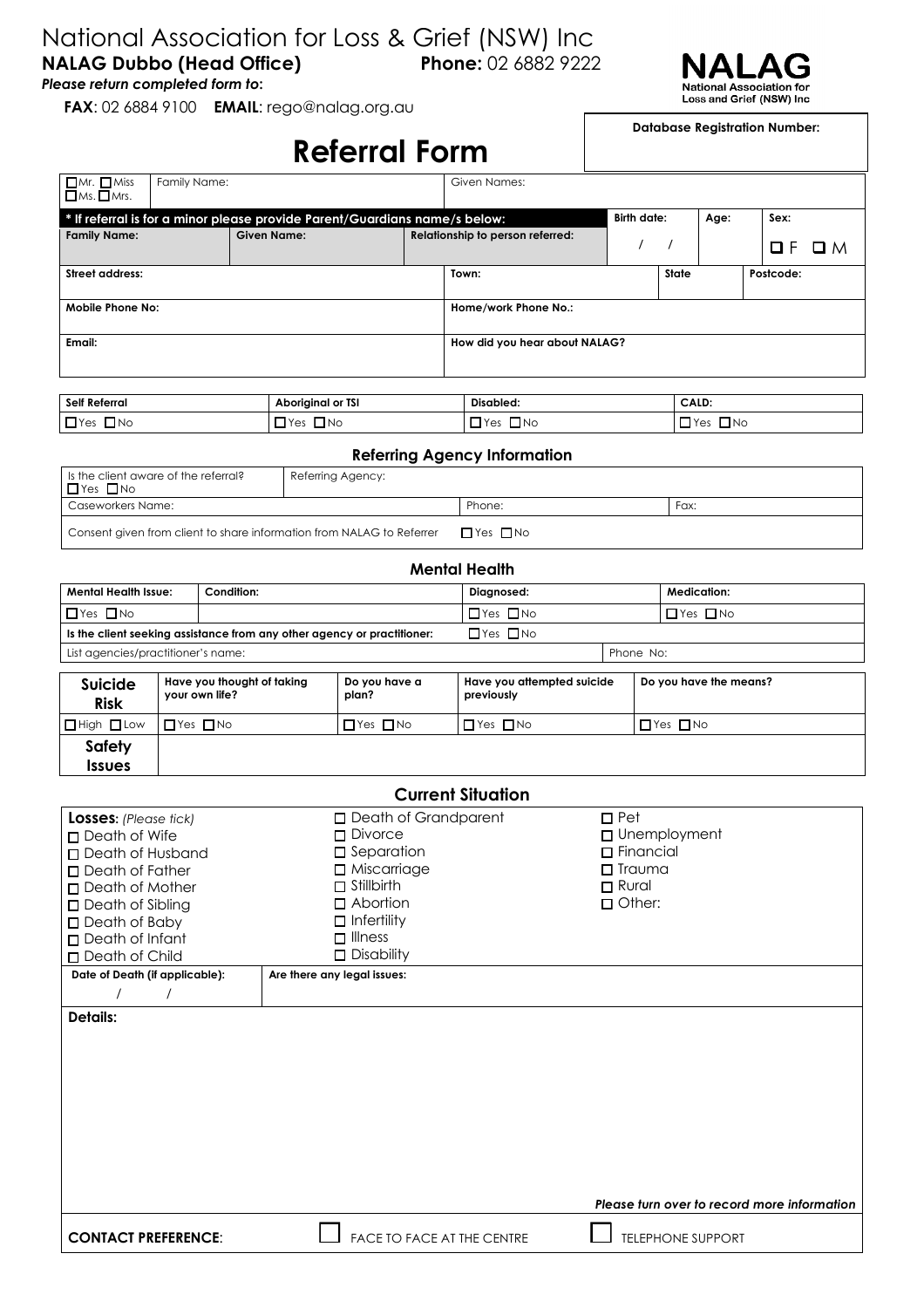## National Association for Loss & Grief (NSW) Inc **NALAG Dubbo (Head Office) Phone:** 02 6882 9222

*Please return completed form to***:** 

**FAX**: 02 6884 9100 **EMAIL**: rego@nalag.org.au



**Database Registration Number:**

|                                                  |                                      |  | <b>Referral Form</b>                                                       |                                  |                               |                                     |                    |       |                      |           |     |
|--------------------------------------------------|--------------------------------------|--|----------------------------------------------------------------------------|----------------------------------|-------------------------------|-------------------------------------|--------------------|-------|----------------------|-----------|-----|
| $\Box$ Mr. $\Box$ Miss<br>$\Box$ Ms. $\Box$ Mrs. | Family Name:                         |  |                                                                            | Given Names:                     |                               |                                     |                    |       |                      |           |     |
|                                                  |                                      |  | * If referral is for a minor please provide Parent/Guardians name/s below: |                                  |                               |                                     | <b>Birth date:</b> |       | Age:                 | Sex:      |     |
| <b>Given Name:</b><br><b>Family Name:</b>        |                                      |  |                                                                            | Relationship to person referred: |                               |                                     |                    |       |                      | ОF        | O M |
| <b>Street address:</b>                           |                                      |  |                                                                            |                                  | Town:                         |                                     |                    | State |                      | Postcode: |     |
| <b>Mobile Phone No:</b>                          |                                      |  |                                                                            |                                  | Home/work Phone No.:          |                                     |                    |       |                      |           |     |
| Email:                                           |                                      |  |                                                                            |                                  | How did you hear about NALAG? |                                     |                    |       |                      |           |     |
| Self Referral                                    |                                      |  | <b>Aboriginal or TSI</b>                                                   |                                  |                               | Disabled:                           |                    |       | CALD:                |           |     |
| $\Box$ Yes $\Box$ No                             |                                      |  | $\Box$ Yes $\Box$ No                                                       |                                  |                               | $\Box$ Yes $\Box$ No                |                    |       | $\Box$ Yes $\Box$ No |           |     |
|                                                  |                                      |  |                                                                            |                                  |                               | <b>Referring Agency Information</b> |                    |       |                      |           |     |
| $\Box$ Yes $\Box$ No                             | Is the client aware of the referral? |  | Referring Agency:                                                          |                                  |                               |                                     |                    |       |                      |           |     |
| Caseworkers Name:                                |                                      |  |                                                                            |                                  | Phone:<br>Fax:                |                                     |                    |       |                      |           |     |
|                                                  |                                      |  | Consent given from client to share information from NALAG to Referrer      |                                  |                               | $\Box$ Yes $\Box$ No                |                    |       |                      |           |     |

| <b>Mental Health</b>                                                    |                      |                      |  |                      |  |  |
|-------------------------------------------------------------------------|----------------------|----------------------|--|----------------------|--|--|
| Mental Health Issue:                                                    | Condition:           | Diagnosed:           |  | Medication:          |  |  |
| $\Box$ Yes $\Box$ No                                                    |                      | $\Box$ Yes $\Box$ No |  | $\Box$ Yes $\Box$ No |  |  |
| Is the client seeking assistance from any other agency or practitioner: | $\Box$ Yes $\Box$ No |                      |  |                      |  |  |
| List agencies/practitioner's name:                                      |                      | Phone No:            |  |                      |  |  |

| <b>Suicide</b><br><b>Risk</b> | Have you thought of taking<br>your own life? | Do you have a<br>plan? | Have you attempted suicide<br>previously | Do you have the means? |
|-------------------------------|----------------------------------------------|------------------------|------------------------------------------|------------------------|
| $\Box$ High $\Box$ Low        | $\Box$ Yes $\Box$ No                         | $\Box$ Yes $\Box$ No   | $\Box$ Yes $\Box$ No                     | $\Box$ Yes $\Box$ No   |
| <b>Safety</b>                 |                                              |                        |                                          |                        |
| <b>Issues</b>                 |                                              |                        |                                          |                        |

| <b>Current Situation</b>       |                                   |                                             |  |  |  |
|--------------------------------|-----------------------------------|---------------------------------------------|--|--|--|
| Losses: (Please tick)          | □ Death of Grandparent            | $\Box$ Pet                                  |  |  |  |
| $\Box$ Death of Wife           | $\square$ Divorce                 | $\Box$ Unemployment                         |  |  |  |
| □ Death of Husband             | $\square$ Separation              | $\Box$ Financial                            |  |  |  |
| $\Box$ Death of Father         | □ Miscarriage                     | $\Box$ Trauma                               |  |  |  |
| Death of Mother                | $\Box$ Stillbirth                 | $\Box$ Rural                                |  |  |  |
| □ Death of Sibling             | $\Box$ Abortion                   | $\Box$ Other:                               |  |  |  |
| $\Box$ Death of Baby           | $\Box$ Infertility                |                                             |  |  |  |
| Death of Infant                | $\Box$ Illness                    |                                             |  |  |  |
| □ Death of Child               | $\Box$ Disability                 |                                             |  |  |  |
| Date of Death (if applicable): | Are there any legal issues:       |                                             |  |  |  |
| $\prime$                       |                                   |                                             |  |  |  |
| <b>Details:</b>                |                                   |                                             |  |  |  |
|                                |                                   |                                             |  |  |  |
|                                |                                   |                                             |  |  |  |
|                                |                                   |                                             |  |  |  |
|                                |                                   |                                             |  |  |  |
|                                |                                   |                                             |  |  |  |
|                                |                                   |                                             |  |  |  |
|                                |                                   |                                             |  |  |  |
|                                |                                   |                                             |  |  |  |
|                                |                                   |                                             |  |  |  |
|                                |                                   |                                             |  |  |  |
|                                |                                   | Please turn over to record more information |  |  |  |
|                                |                                   |                                             |  |  |  |
| <b>CONTACT PREFERENCE:</b>     | <b>FACE TO FACE AT THE CENTRE</b> | <b>TELEPHONE SUPPORT</b>                    |  |  |  |
|                                |                                   |                                             |  |  |  |